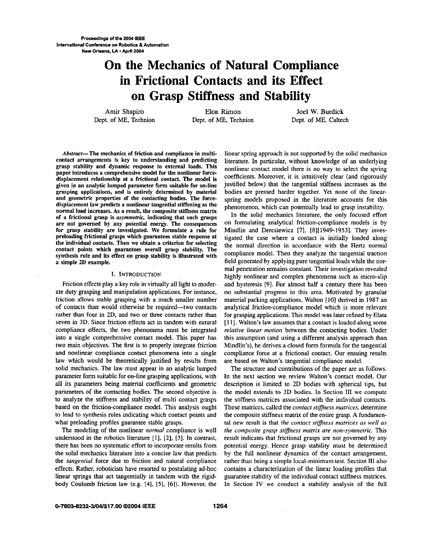**Pmuedlngs** *dthe* **2004 IEEE International Conference on Robotics & Automation New Orleans,** IA \*April **<sup>2004</sup>**

# **Qn the Mechanics of Natural Compliance in Frictional Contacts and its Effect on Grasp Stiffness and Stability**

*Amir Shapiro* Elon Rimon Joel W. Burdick<br> *Dept.* of ME, Technion Dept. of ME, Caltech Dept. of ME, Technion

grasp stability and dynamic response to external loads. This paper introduces a comprehensive model for the nonlinear forcedisplacement relationship at a frictional contact. The model is displacement law predicts a nonlinear tangential stiffening as the phenomenon, which can potentially lead to grasp instability.<br>normal load increases. As a result, the composite stiffness matrix of a frictional grasp is asymmetric, indicating that such grasps synthesis rule and its effect on grasp stability is illustrated with

#### I. INTRODUCTION

Friction effects play a key role in virtually all light to moderate duty grasping and manipulation applications. For instance, friction allows stable grasping with a much smaller number of contacts than would otherwise be required-two contacts rather than four in 2D, and two or three contacts rather than seven in 3D. Since friction effects act in tandem with natural compliance effects, the two phenomena must be integrated into a single comprehensive contact model. **This** paper has two main objectives. The first is to properly integrate friction and nonlinear compliance contact phenomena into a single law which would be theoretically justified by results from solid mechanics. The law must appear in an analytic lumped parameter form suitable for on-line grasping applications, with all its parameters being material coefficients and geometric parameters of the contacting bodies. The second objective is to analyze the stiffness and stability of multi contact grasps based on the friction-compliance model. **This** analysis ought to lead to synthesis **rules** indicating which contact points and what preloading profiles guarantee stable grasps.

The modeling of the nonlinear *normal* compliance is well understood in the robotics literature [1], [2], [3]. In contrast, there has been no systematic effort to incorporate results from the solid mechanics literature into a concise law that predicts the *tangential* force due to friction and natural compliance effects. Rather, mboticists have resorted to postulating ad-hoc linear springs that act tangentially in tandem with the rigidbody Coulomb friction law (e.g. 141, [5], *[6]).* However, the

Abstract—The mechanics of friction and compliance in multi- linear spring approach is not supported by the solid mechanics<br>contact arrangements is key to understanding and predicting literature. In particular, without know literature. In particular, without knowledge of an underlying nonlinear contact model there is no way to select the spring coefficients. Moreover, it is intuitively clear (and rigorously External **and the angle form suitable for on-line** justified below) that the tangential stiffness increases as the grasping applications, and is entirely determined by material bodies are pressed harder together. Yet none grasping applications, and is entirely determined by material bodies are pressed harder together. Yet none of the linear-<br>and geometric properties of the contacting bodies. The force-<br>controlled proposed in the literature and geometric properties of the contacting bodies. The force-<br>displacement law predicts a nonlinear tangential stiffening as the<br>phenomenon which can potentially lead to graen instability

In the solid mechanics literature, the only focused effort are not governed by any potential energy. The consequences on formulating analytical friction-compliance models is by for grasp stability **are** investigated. We formulate a rule for Mindlin and Deresiewicz **[7],** [8][1949-1953]. They invespreloading frictional grasps which guarantees stable response at igated the case where a contact is initially loaded along<br>the individual contacts. Then we obtain a criterion for selecting<br>the normal direction in accordanc contact points which guarantees overall grasp stability. The<br>
synthesis rule and its effect on grasp stability is illustrated with<br>
a simple 2D example.<br>
a simple 2D example.<br>
a simple 2D example. mal penetration remains constant. Their investigation revealed highly nonlinear and complex phenomena such as micro-slip and hysteresis [9]. **For** almost half a century there has been no substantial progress in **this** area. Motivated by granular material packing appIications. Walton **[lo]** derived in 1987 an analytical friction-compliance model which is more relevant for grasping applications. **This** model was later refined by Elata [11]. Walton's law assumes that a contact is loaded along some *relative linear motion* between the contacting bodies. Under **this** assumption (and using a different analysis approach than Mindlin's), he derives a closed form formula for the tangential compliance force at **a** frictional contact. Our ensuing results are based on Walton's tangential compliance model.

> The structure and contributions of the paper are as follows. In the next section we review Walton's contact model. Our description is limited to 2D bodies with spherical tips, but the model extends to 3D bodies. In Section III we compute the stiffness matrices associated with the individual contacts. These matrices, called the *contact stifiess matrices,* determine the composite stiffness matrix of the entire grasp. A fundamental new result is that *the contact stifiiess matrices as well ay the composite grasp stifiess matrix are non-symmetric.* This result indicates that frictional grasps are not governed by any potential energy. Hence grasp stability must be determined by the full nonlinear dynamics of the contact arrangement, rather than being a simple local-minimum test. Section **III** also contains a characterization of the linear loading profiles that guarantee stability of the individual contact stiffness matrices. In Section IV we conduct a stability analysis of the full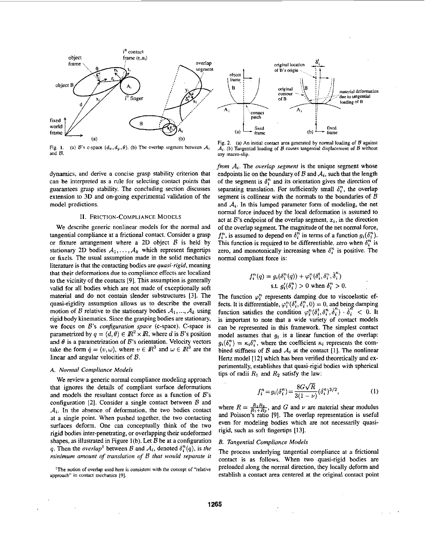

**Fig. 1.**  and  $B$ . (a) B's c-space  $(d_x, d_y, \theta)$ . (b) The overlap segment between  $A_i$ 

dynamics, and derive a concise grasp stability criterion that can he interpreted as a rule for selecting contact points that guarantees grasp stability. The concluding section discusses extension to 3D and on-going experimental validation of the model predictions.

# **11.** FRICTION-COMPLIANCE MODELS

We describe generic nonlinear models for the normal and tangential compliance at a frictional contact. Consider a grasp or fixture arrangement where a 2D object *B* is held by stationary 2D bodies  $A_1, \ldots, A_k$  which represent fingertips or fixels. The usual assumption made in the solid mechanics literature is that the contacting bodies are *quasi-rigid,* meaning that their deformations due to compliance effects are localized to the vicinity of the contacts **[9].** This assumption is generally valid for all bodies which are not made of exceptionally soft material and do not contain slender substructures [31. The quasi-rigidity assumption allows us to describe the overall motion of *B* relative to the stationary bodies  $A_1, ..., A_k$  using rigid body kinematics. Since the grasping bodies are stationary, we focus on B's *configuration space* (c-space). C-space is parametrized by  $q = (d, \theta) \in \mathbb{R}^2 \times \mathbb{R}$ , where *d* is *B*'s position and  $\theta$  is a parametrization of  $B$ 's orientation. Velocity vectors take the form  $\dot{q} = (v, \omega)$ , where  $v \in \mathbb{R}^3$  and  $\omega \in \mathbb{R}^3$  are the linear and angular velocities of *B.* 

# *A. Normal Conipliance Models*

We review a generic normal compliance modeling approach that ignores the details of compliant surface deformations and models the resultant contact force as a function of  $B$ 's configuration [2]. Consider a single contact between *B* and  $A_i$ . In the absence of deformation, the two bodies contact at a single point. When pushed together, the two contacting surfaces deform. One can conceptually think of the two rigid bodies inter-penetrating, or overlapping their undeformed shapes, as illustrated in Figure l(b). Let *B* be at a configuration *q.* Then the *overlap*<sup>1</sup> between B and  $A_i$ , denoted  $\delta_i^n(q)$ , is the *mininiuni amount of translation of B that would separate il* 

<sup>1</sup>The notion of overlap used here is consistent with the concept of "relative **approach" in contact mechanics 191.** 



**Fig. 2. (a) An inifial contact area generated** by **normal loading of** *B* **against**   $\mathcal{A}_i$ . (b) Tangential loading of  $\mathcal{B}$  causes tangential displacement of  $\mathcal{B}$  without **any macro-slip.** 

*from*  $A_i$ . The *overlap segment* is the unique segment whose endpoints lie on the boundary of  $\mathcal B$  and  $\mathcal A_i$ , such that the length of the segment is  $\delta_i^n$  and its orientation gives the direction of separating translation. For sufficiently small  $\delta_i^n$ , the overlap segment is collinear with the normals to the boundaries of  $B$ and *A,.* In this lumped parameter form of modeling, the net normal force induced by the local deformation is assumed to act at  $B$ 's endpoint of the overlap segment,  $x_i$ , in the direction of the overlap segment. The magnitude of the net normal force,  $f_i^n$ , is assumed to depend on  $\delta_i^n$  in terms of a function  $g_i(\delta_i^n)$ . This function is required to be differentiable, zero when  $\delta_i^n$  is zero, and monotonically increasing when  $\delta_i^n$  is positive. The normal compliant force is:

$$
f_i^n(q) = g_i(\delta_i^n(q)) + \varphi_i^n(\delta_i^t, \delta_i^n, \dot{\delta}_i^n)
$$
  
s.t.  $g_i'(\delta_i^n) > 0$  when  $\delta_i^n > 0$ .

The function  $\varphi_i^n$  represents damping due to viscoelastic effects. It is differentiable,  $\varphi_i^n(\delta_i^t, \delta_i^n, 0) = 0$ , and being damping function satisfies the condition  $\varphi_i^n(\delta_i^t, \delta_i^n, \delta_i^n) \cdot \delta_i^n < 0$ . It is important to note that a wide variety of contact models can be represented in this framework. The simplest contact model assumes that  $q_i$  is a linear function of the overlap:  $g_i(\delta_i^n) = \kappa_i \delta_i^n$ , where the coefficient  $\kappa_i$  represents the combined stiffness of  $B$  and  $A_i$  at the contact [1]. The nonlinear Hertz model [12] which has been verified theoretically and experimentally, establishes that quasi-rigid bodies with spherical tips of radii  $R_1$  and  $R_2$  satisfy the law:

$$
f_i^n = g_i(\delta_i^n) = \frac{8G\sqrt{R}}{3(1-\nu)}(\delta_i^n)^{3/2},
$$
 (1)

where  $R = \frac{R_1 R_2}{R_1 + R_2}$ , and G and  $\nu$  are material shear modulus and Poisson's ratio [9]. The overlap representation is useful even for modeling bodies which are not necessarily quasirigid, such as soft fingertips [13].

## *B. Tangential Compliance Models*

The process underlying tangential compliance at a frictional contact is as follows. When two quasi-rigid bodies are preloaded along the normal direction, they locally deform and establish a contact area centered at the original contact point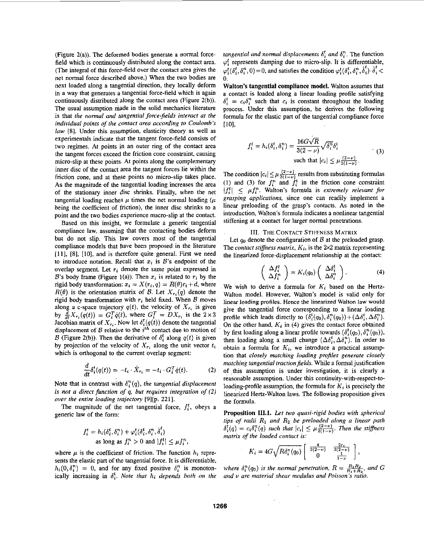(Figure **2(a)).** The deformed bodies generate a normal forcefield which is continuously distributed along the contact area. (The integral of this force-field over the contact area gives the net normal force descrihed above.) When the two bodies are next loaded along a tangential direction, they locally deform in a way that generates a tangential force-field which is again continuously distributed along the contact area (Figure **2(b)).**  The usual assumption made in the solid mechanics literature is that *the normal and tangential force-jields interact at the individual points of the contact area according to Coulomb's law* **(81.** Under this assumption, elasticity theory **as** well **as**  experimentals indicate that the tangent force-field consists of two regimes. At points **in** an outer ring of the contact area the tangent forces exceed the friction cone constraint, causing micro-slip at these points. At points along the complementary inner disc of the contact mea the tangent forces lie within the friction cone, and at these points no micro-slip takes place. **As** the magnitude of the tangential loading increases the area of the stationary inner disc shrinks. Finally, when the net tangential loading reaches  $\mu$  times the net normal loading  $(\mu$ being the coefficient of friction), the inner disc shrinks to a point and the two bodies experience macro-slip at the contact.

Based on this insight, we formulate a generic tangential compliance law, assuming that the contacting bodies deform hut do not slip. This law covers most of the tangential compliance models that have been proposed in the literature 1111, [8], [lo], and is therefore quite general. First we need to introduce notation. Recall that  $x_i$  is  $B$ 's endpoint of the overlap segment. Let  $r_i$  denote the same point expressed in B's body frame (Figure 1(a)). Then  $x_i$  is related to  $r_i$  by the rigid body transformation:  $x_i = X(r_i, q) = R(\theta)r_i + d$ , where  $R(\theta)$  is the orientation matrix of *B*. Let  $X_{r_i}(q)$  denote the rigid body transformation with *ri* held fixed. When *B* moves along a c-space trajectory  $q(t)$ , the velocity of  $X_{r_i}$  is given by  $\frac{d}{dt}X_{r_i}(q(t)) = G_i^T\dot{q}(t)$ , where  $G_i^T = DX_{r_i}$  is the  $2 \times 3$ Jacobian matrix of  $X_{r_i}$ . Now let  $\delta_i^t(q(t))$  denote the tangential displacement of *B* relative to the *i*<sup>th</sup> contact due to motion of *B* (Figure 2(b)). Then the derivative of  $\delta_i^t$  along  $q(t)$  is given by projection of the velocity of  $X_{r_i}$  along the unit vector  $t_i$ which is orthogonal to the current overlap segment:

$$
\frac{d}{dt}\delta_i^t(q(t)) = -t_i \cdot \dot{X}_{r_i} = -t_i \cdot G_i^T \dot{q}(t). \tag{2}
$$

Note that in contrast with  $\delta_i^n(q)$ , the tangential displacement *is not a direct function of q. but requires integration of (2) over the entire loading trajectory* [9][p. 221].

The magnitude of the net tangential force,  $f_i^t$ , obeys a generic **law** of the form:

$$
f_i^t = h_i(\delta_i^t, \delta_i^n) + \varphi_i^t(\delta_i^t, \delta_i^n, \dot{\delta}_i^t)
$$
  
as long as  $f_i^n > 0$  and  $|f_i^t| \leq \mu f_i^n$ ,

where  $\mu$  is the coefficient of friction. The function  $h_i$  represents the elastic part of the tangential force. It is differentiable,  $h_i(0, \delta_i^n) = 0$ , and for any fixed positive  $\delta_i^n$  is monotonically increasing in  $\delta_i^t$ . Note that  $h_i$  depends both on the

*tangential and normal displacements*  $\delta_i^t$  *and*  $\delta_i^n$ . The function  $\varphi_i^t$  represents damping due to micro-slip. It is differentiable,  $\varphi_i^t(\delta_i^t, \delta_i^n, 0) = 0$ , and satisfies the condition  $\varphi_i^t(\delta_i^t, \delta_i^n, \dot{\delta}_i^t) \cdot \dot{\delta}_i^t$ .  $\Omega$ 

**Walton's tangential compliance model.** Walton assumes that a contact is loaded along a linear loading profile satisfying  $\delta_i^t = c_i \delta_i^n$  such that  $c_i$  is constant throughout the loading process. Under **this** assumption, he derives the following formula for the elastic part of the tangential compliance force [lo],

$$
f_i^t = h_i(\delta_i^t, \delta_i^n) = \frac{16G\sqrt{R}}{3(2-\nu)} \sqrt{\delta_i^n} \delta_i^t
$$
  
such that  $|c_i| \le \mu \frac{(2-\nu)}{2(1-\nu)}$ . (3)

The condition  $|c_i| \leq \mu \frac{2}{2(1-\nu)}$  results from substituting formulas (1) and (3) for  $f_i^n$  and  $f_i^t$  in the friction cone constraint  $|f_i^t| < \mu f_i^n$ . Walton's formula is *extremely relevant for grasping applications,* since one can readily implement a linear preloading of the grasp's contacts. As noted in the introduction, Walton's formula indicates a nonlinear tangential stiffening at a contact for larger normal penetrations.

# 111. THE **CONTACT STIFFNESS MATRIX**

Let *qo* denote the configuration of *B* at the preloaded grasp. The *contact stiffness matrix,*  $K_i$ , is the  $2 \times 2$  matrix representing the linearized force-displacement relationship at the contact:

$$
\begin{pmatrix}\n\Delta f_i^t \\
\Delta f_i^n\n\end{pmatrix} = K_i(q_0) \begin{pmatrix}\n\Delta \delta_i^t \\
\Delta \delta_i^n\n\end{pmatrix}.
$$
\n(4)

We wish to derive a formula for  $K_i$  based on the Hertz-Walton model. However, Walton's model is valid only for linear loading profiles. Hence the linearized Walton law would give the tangential force corresponding to a linear loading profile which leads directly to  $(\delta_i^t(q_0), \delta_i^n(q_0)) + (\Delta \delta_i^t, \Delta \delta_i^n)$ . On the other hand,  $K_i$  in (4) gives the contact force obtained by first loading along a linear profile towards  $(\delta_i^t(q_0), \delta_i^n(q_0))$ , then loading along a small change  $(\Delta \delta_i^t, \Delta \delta_i^n)$ . In order to obtain a formula for  $K_i$ , we introduce a practical assumption that *closely matching loading pmfiles generate closely matching tangential traction fields.* While a formal justification of this assumption is under investigation, it is clearly a reasonable assumption. Under this **continuity-with-respect-to**loading-profile assumption, the formula for *K,* is precisely the linearized Hertz-Walton laws. The following proposition gives the formula.

**Proposition 111.1.** *Let two quasi-rigid bodies with spherical tips of radii*  $R_1$  *and*  $R_2$  *be preloaded along a linear path*  $\delta_i^t(q) = c_i \delta_i^n(q)$  *such that*  $|c_i| \leq \mu \frac{(2-\nu)}{2(1-\nu)}$ . Then the stiffness *matrix of the loaded contacf is:* 

$$
K_i = 4G\sqrt{R\delta_i^n(q_0)}\begin{bmatrix} \frac{4}{3(2-\nu)} & \frac{2c_i}{3(2-\nu)} \\ 0 & \frac{1}{1-\nu} \end{bmatrix},
$$

*K<sub>i</sub>* =  $4G\sqrt{R\delta_i^n(q_0)}\begin{bmatrix}3(2-\nu)\3(2-\nu)\0\end{bmatrix}^3$ ,<br>where  $\delta_i^n(q_0)$  is the normal penetration,  $R = \frac{R_1R_2}{R_1+R_2}$ , and G<br>and *v* are material shear modulus and Poisson's ratio.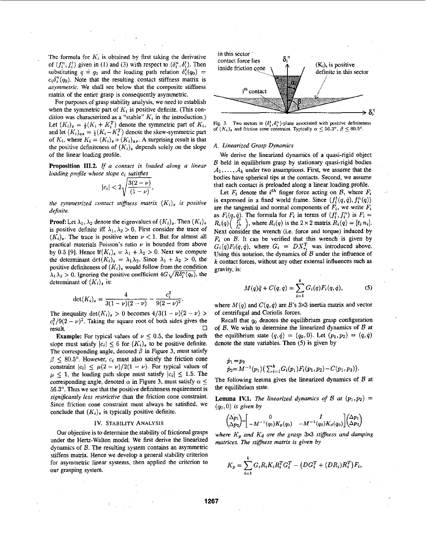The formula for  $K_i$  is obtained by first taking the derivative of  $(f_i^n, f_i^t)$  given in (1) and (3) with respect to  $(\delta_i^n, \delta_i^t)$ . Then substituting  $q = q_0$  and the loading path relation  $\delta_i^t(q_0)$  =  $c_i \delta_i^n(q_0)$ . Note that the resulting contact stiffness matrix is *asymmetric.* We shall see helow that the composite stiffness matrix of the entire grasp **is** consequently asymmetric.

For purposes of grasp stability analysis, we need to establish when the symmetric part of  $K_i$  is positive definite. (This condition was characterized as a "stable" *K;* in the introduction.) Let  $(K_i)_s = \frac{1}{2}(K_i + K_i^T)$  denote the symmetric part of  $K_i$ , and let  $(K_i)_{\alpha s} = \frac{1}{2}(K_i - K_i^T)$  denote the skew-symmetric part of  $K_i$ , where  $K_i = (K_i)_s + (K_i)_{as}$ . A surprising result is that the positive definiteness of  $(K_i)_s$  depends solely on the slope of the linear loading profile.

**Proposition 111.2.** *If a contact is loaded along a linear loading pmJile whose slope ci satisfies* 

$$
|c_i| < 2\sqrt{\frac{3(2-\nu)}{(1-\nu)}},
$$

*the symmetrized contact stiffness matrix*  $(K_i)_s$  *is positive dejnite.* 

**Proof:** Let  $\lambda_1, \lambda_2$  denote the eigenvalues of  $(K_i)_s$ . Then  $(K_i)_s$ is positive definite iff  $\lambda_1, \lambda_2 > 0$ . First consider the trace of  $(K_i)_s$ . The trace is positive when  $\nu < 1$ . But for almost all practical materials Poisson's ratio  $\nu$  is bounded from above by 0.5 [9]. Hence  $tr(K_i)_s = \lambda_1 + \lambda_2 > 0$ . Next we compute the determinant  $\det(K_i)_{s} = \lambda_1 \lambda_2$ . Since  $\lambda_1 + \lambda_2 > 0$ , the positive definiteness of  $(K_i)_s$  would follow from the condition  $\lambda_1 \lambda_2 > 0$ . Ignoring the positive coefficient  $4G\sqrt{R\delta_i^n(q_0)}$ , the determinant of  $(K_i)$ , is:

$$
\det(K_i)_s = \frac{4}{3(1-\nu)(2-\nu)} - \frac{c_i^2}{9(2-\nu)^2}.
$$

The inequality  $\det(K_i)_{\mathcal{S}} > 0$  becomes  $4/3(1-\nu)(2-\nu) >$ The inequality  $\det(K_i)_s > 0$  becomes  $4/3(1 - \nu)(2 - \nu) > c_i^2/9(2 - \nu)^2$ . Taking the square root of both sides gives the result.  $\Box$ 

**Example:** For typical values of  $\nu \leq 0.5$ , the loading path slope must satisfy  $|c_i| \leq 6$  for  $(K_i)_s$  to be positive definite. The corresponding angle, denoted  $\beta$  in Figure 3, must satisfy  $\beta$   $\leq$  80.5°. However,  $c_i$  must also satisfy the friction cone constraint  $|c_i| < \mu(2 - \nu)/2(1 - \nu)$ . For typical values of  $\mu \leq 1$ , the loading path slope must satisfy  $|c_i| \leq 1.5$ . The corresponding angle, denoted  $\alpha$  in Figure 3, must satisfy  $\alpha \leq$ 56.3". **Thus** we see that the positive definiteness requirement is significantly less restrictive than the friction cone constraint. **Lemma IV.1.** The linearized dynamics of B at  $(p_1, p_2)$  = Since friction cone constraint must always be satisfied, we  $(q_0, 0)$  is given by conclude that  $(K_i)$ <sub>s</sub> is typically positive definite.

#### **IV. STABILITY ANALYSIS**

Our objective is to determine the stability of frictional grasps under the Hertz-Walton model. We first derive the linearized dynamics of  $B$ . The resulting system contains an asymmetric stiffens matrix. Hence we develop a general stability criterion for asymmetric linear systems, then applied the criterion to **our** grasping system.



Fig. 3. Two sectors in  $(\delta_i^t, \delta_i^n)$ -plane associated with positive definiteness **of**  $(K_i)$ <sub>s</sub> and friction cone constraint. Typically  $\alpha \le 56.3^\circ$ ,  $\beta \le 80.5^\circ$ .

# *A. Linearized Grasp Dynamics*

We derive the linearized dynamics of a quasi-rigid object B held in equilibrium grasp by stationary quasi-rigid bodies  $A_1, \ldots, A_k$  under two assumptions. First, we assume that the bodies have spherical tips at the contacts. Second, we assume that each contact is preloaded along a linear loading profile.

Let  $F_i$  denote the  $i^{th}$  finger force acting on  $B$ , where  $F_i$ is expressed in a fixed world frame. Since  $(f_i^t(q, \dot{q}), f_i^n(q))$ are the tangential and normal components of  $F_i$ , we write  $F_i$ as  $F_i(q, \dot{q})$ . The formula for  $F_i$  in terms of  $(f_i^t, f_i^n)$  is  $F_i =$  $R_i(q)$   $\binom{f_i^1}{f_i^n}$ , where  $R_i(q)$  is the  $2 \times 2$  matrix  $R_i(q) = [t_i n_i]$ . Next consider the wrench (i.e. force and torque) induced by  $F_i$  on  $\beta$ . It can be verified that this wrench is given by  $G_i(q)F_i(q,\dot{q})$ , where  $G_i = DX_{r_i}^T$  was introduced above. Using **this** notation, the dynamics of *B* under the influence of *k* contact forces, without any other external influences such **as**  gravity, is:

$$
M(q)\ddot{q} + C(q, \dot{q}) = \sum_{i=1}^{k} G_i(q) F_i(q, \dot{q}), \qquad (5)
$$

where  $M(q)$  and  $C(q, q)$  are B's 3×3 inertia matrix and vector of centrifugal and Coriolis forces.

Recall that *qo* denotes the equilibrium grasp configuration **of U.** We wish to determine the linearized dynamics of **U** at the equilibrium state  $(q, \dot{q}) = (q_0, 0)$ . Let  $(p_1, p_2) = (q, \dot{q})$ denote the state variables. Then (5) **is** given by

$$
\dot{p}_1=p_2\n\n\dot{p}_2=M^{-1}(p_1)\big(\sum_{i=1}^kG_i(p_1)F_i(p_1,p_2)-C(p_1,p_2)\big).
$$

The following lemma gives the linearized dynamics of  $B$  at the equilibrium state.

$$
\begin{pmatrix} \Delta p_1 \\ \Delta p_2 \end{pmatrix} = \begin{bmatrix} 0 & I \\ -M^{-1}(q_0)K_p(q_0) & -M^{-1}(q_0)K_d(q_0) \end{bmatrix} \begin{pmatrix} \Delta p_1 \\ \Delta p_2 \end{pmatrix}
$$

where  $K_p$  and  $K_d$  are the grasp  $3 \times 3$  stiffness and damping *matrices. The stiffness matrix is given by* 

$$
K_p = \sum_{i=1}^k G_i R_i K_i R_i^T G_i^T - (DG_i^T + (DR_i)R_i^T)F_i,
$$

**1267**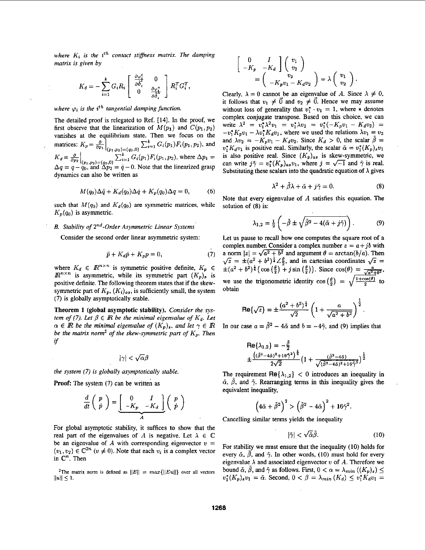where  $K_i$  is the  $i^{th}$  contact stiffness matrix. The damping *matrix is given by*  $\begin{bmatrix} 0 & I \\ -K_p & -K_d \end{bmatrix} \begin{bmatrix} v_1 \\ v_2 \end{bmatrix}$ 

$$
K_d = -\sum_{i=1}^k G_i R_i \begin{bmatrix} \frac{\partial \varphi_i^t}{\partial \delta_i^t} & 0 \\ 0 & \frac{\partial \varphi_i^u}{\partial \delta_i^t} \end{bmatrix} R_i^T G_i^T,
$$
  
\nClearly,  $\lambda = 0$  cannot be an eigenvalue.

The detailed proof is relegated to Ref. [14]. In the proof, we first observe that the linearization of  $M(p_1)$  and  $C(p_1, p_2)$ state. Then we focus on the matrices:  $K_p = \frac{\partial}{\partial p_1} \Big|_{(p_1, p_2) = (q_0, 0)} \sum_{i=1}^k G_i(p_1) F_i(p_1, p_2)$ , and  $\frac{\partial}{\partial p_1} \frac{\partial}{\partial p_2} = -K_p v_1 - K_d v_2$ . Since  $K_d > 0$ , the scalar  $\tilde{\alpha} = v_1^*(K_p) v_1$  $K_d = \frac{\partial}{\partial p_2}\Big|_{(p_1,p_2)=(q_0,0)} \sum_{i=1}^k G_i(p_1) F_i(p_1,p_2)$ , where  $\Delta p_1 = \Delta q = q - q_0$ , and  $\Delta p_2 = \dot{q} - 0$ . Note that the linearized grasp dynamics can also be written as

$$
M(q_0)\Delta \ddot{q} + K_d(q_0)\Delta \dot{q} + K_p(q_0)\Delta q = 0, \qquad (6)
$$

such that  $M(q_0)$  and  $K_d(q_0)$  are symmetric matrices, while  $K_n(q_0)$  is asymmetric.

# *B. Stability* of *2"d-Order Asymmetric Linear Systems*

Consider the second order linear asymmetric system:

$$
\ddot{p} + K_d \dot{p} + K_p p = 0, \qquad (7)
$$

where  $K_d \in \mathbb{R}^{n \times n}$  is symmetric positive definite,  $K_p \in \mathbb{R}^{n \times n}$  is asymmetric, while its symmetric part  $(K_p)_s$  is positive definite. The following theorem states that if the skewsymmetric part of  $K_p$ ,  $(K_i)_{as}$ , is sufficiently small, the system **(7)** is globally asymptotically stable.

Theorem **1 (global** asymptotic stability). *Consider the* sys*tem of (7). Let*  $\beta \in \mathbb{R}$  *be the minimal eigenvalue of*  $K_d$ *. Let*  $\alpha \in \mathbb{R}$  be the minimal eigenvalue of  $(K_p)_s$ , and let  $\gamma \in \mathbb{R}$ *be the matrix norm<sup>2</sup> of the skew-symmetric part of*  $K_p$ . Then *if* 

 $|\gamma| < \sqrt{\alpha}\beta$ 

*the system (7) is globally asymptotically stable.* 

**Proof:** The system (7) can be written **as** 

$$
\frac{d}{dt}\left(\begin{array}{c}p\\p\end{array}\right)=\underbrace{\left[\begin{array}{cc}0&I\\-K_p&-K_d\end{array}\right]}_{A}\left(\begin{array}{c}p\\p\end{array}\right)
$$

For global asymptotic stability, it suffices to show that the real part of the eigenvalues of *A* is negative. Let  $\lambda \in \mathbb{C}$ be an eigenvalue of *A* with corresponding eigenvector  $v =$  $(v_1, v_2) \in \mathbb{C}^{2n}$   $(v \neq 0)$ . Note that each  $v_i$  is a complex vector in  $\mathbb{C}^n$ . Then

<sup>2</sup>The matrix norm is defined as  $||E|| = max{||Eu||}$  over all vectors  $||u|| \leq 1.$ 

$$
\begin{bmatrix}\n0 & I \\
-K_p & -K_d\n\end{bmatrix}\n\begin{bmatrix}\nv_1 \\
v_2\n\end{bmatrix}
$$
\n
$$
\begin{bmatrix}\n0 & I \\
v_2\n\end{bmatrix}
$$
\n
$$
= \begin{pmatrix}\n0 & I \\
v_2\n\end{pmatrix} = \begin{pmatrix}\nv_1 \\
v_2\n\end{pmatrix}.
$$
\n
$$
G_i R_i \begin{bmatrix}\n\frac{\partial \varphi_i^t}{\partial \delta_i^t} & 0 \\
0 & R_i^T G_i^T\n\end{bmatrix}.
$$

Clearly,  $\lambda = 0$  cannot be an eigenvalue of *A*. Since  $\lambda \neq 0$ , it follows that  $v_1 \neq \vec{0}$  and  $v_2 \neq \vec{0}$ . Hence we may assume *where*  $\varphi_i$  *is the i<sup>th</sup> tangential damping function.* **in the** *i* without loss of generality that  $v_1^* \cdot v_1 = 1$ , where  $*$  denotes complex conjugate transpose. Based on this choice, we can write  $\lambda^2 = v_1^* \lambda^2 v_1 = v_1^* \lambda v_2 = v_1^* (-K_p v_1 - K_d v_2)$  $-v_1^*K_pv_1 - \lambda v_1^*K_dv_1$ , where we used the relations  $\lambda v_1 = v_2$ and  $\lambda v_2 = -K_p v_1 - K_d v_2$ . Since  $K_d > 0$ , the scalar  $\tilde{\beta} =$ is also positive real. Since  $(K_p)_{as}$  is skew-symmetric, we can write  $j\tilde{\gamma} = v_1^*(K_p)_{as}v_1$ , where  $j = \sqrt{-1}$  and  $\tilde{\gamma}$  is real. Substituting these scalars into the quadratic equation of  $\lambda$  gives

$$
\lambda^2 + \tilde{\beta}\lambda + \tilde{\alpha} + j\tilde{\gamma} = 0. \tag{8}
$$

Note that every eigenvalue of *A* satisfies **this** equation. The solution of **(8)** is:

$$
\lambda^2 + \hat{\beta}\lambda + \tilde{\alpha} + j\tilde{\gamma} = 0.
$$
 (8)  
very eigenvalue of *A* satisfies this equation. The  
(8) is:  

$$
\lambda_{1,2} = \frac{1}{2} \left( -\tilde{\beta} \pm \sqrt{\tilde{\beta}^2 - 4(\tilde{\alpha} + j\tilde{\gamma})} \right).
$$
 (9)

Let **us** pause to recall how one computes the square root **of** a complex number. Consider a complex number  $z = a + jb$  with a norm  $|z| = \sqrt{a^2 + b^2}$  and argument  $\theta = \arctan(b/a)$ . Then  $\sqrt{z} = \pm(a^2 + b^2)^{\frac{1}{4}}\angle\frac{\theta}{2}$ , and in cartesian coordinates  $\sqrt{z} =$ we use the trigonometric identity  $\cos\left(\frac{\theta}{2}\right) = \sqrt{\frac{1+\cos(\theta)}{2}}$  to obtain  $\pm(a^2+b^2)^{\frac{1}{4}}(\cos(\frac{\theta}{2})+j\sin(\frac{\theta}{2}))$ . Since  $\cos(\theta)=\frac{a}{\sqrt{a^2+b^2}}$ ,

$$
\mathsf{Re}\{\sqrt{z}\} = \pm \frac{(a^2 + b^2)^{\frac{1}{4}}}{\sqrt{2}} \left(1 + \frac{a}{\sqrt{a^2 + b^2}}\right)^{\frac{1}{2}}
$$

In our case  $a = \tilde{\beta}^2 - 4\tilde{\alpha}$  and  $b = -4\tilde{\gamma}$ , and (9) implies that

Re{
$$
\lambda_{1,2}
$$
} = - $\frac{\beta}{2}$   

$$
\pm \frac{((\tilde{\beta}^2 - 4\tilde{\alpha})^2 + 16\tilde{\gamma}^2)^{\frac{1}{4}}}{2\sqrt{2}} \left(1 + \frac{(\tilde{\beta}^2 - 4\tilde{\alpha})}{\sqrt{(\tilde{\beta}^2 - 4\tilde{\alpha})^2 + 16\tilde{\gamma}^2}}\right)^{\frac{1}{2}}
$$

The requirement Re $\{\lambda_{1,2}\}$  < 0 introduces an inequality in  $\tilde{\alpha}$ ,  $\tilde{\beta}$ , and  $\tilde{\gamma}$ . Rearranging terms in this inequality gives the equivalent inequality,

$$
\left(4\hat{\alpha}+\hat{\beta}^2\right)^2>\left(\tilde{\beta}^2-4\hat{\alpha}\right)^2+16\hat{\gamma}^2.
$$

Cancelling similar terns yields the inequality

$$
|\tilde{\gamma}| < \sqrt{\tilde{\alpha}} \tilde{\beta}.\tag{10}
$$

For stability we must ensure that the inequality (10) holds for every  $\tilde{\alpha}$ ,  $\tilde{\beta}$ , and  $\tilde{\gamma}$ . In other words, (10) must hold for every eigenvalue  $\lambda$  and associated eigenvector v of  $A$ . Therefore we bound  $\tilde{\alpha}$ ,  $\tilde{\beta}$ , and  $\tilde{\gamma}$  as follows. First,  $0 < \alpha = \lambda_{min} ((K_p)_s) \leq$  $v_1^*(K_p)_s v_1 = \tilde{\alpha}$ . Second,  $0 < \beta = \lambda_{min}(K_d) \le v_1^*K_d v_1 =$